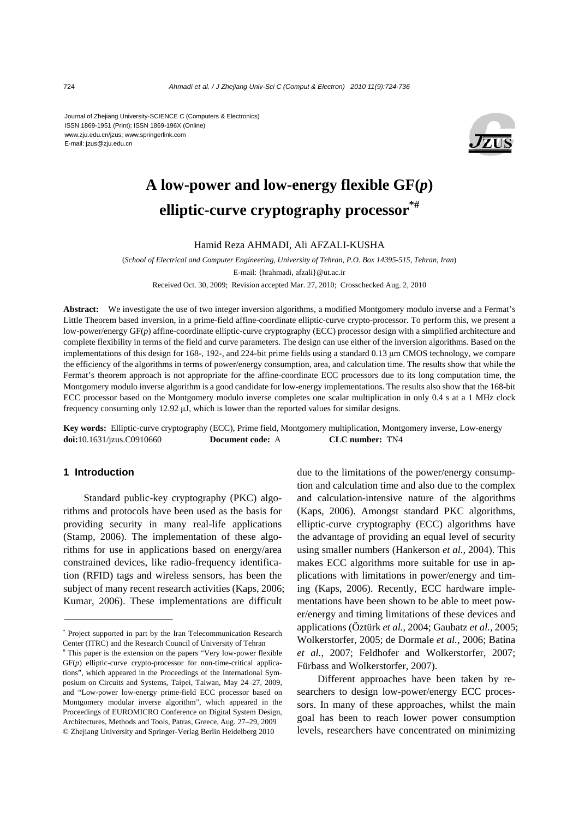Journal of Zhejiang University-SCIENCE C (Computers & Electronics) ISSN 1869-1951 (Print); ISSN 1869-196X (Online) www.zju.edu.cn/jzus; www.springerlink.com E-mail: jzus@zju.edu.cn



# **A low-power and low-energy flexible GF(***p***) elliptic-curve cryptography processor\*#**

#### Hamid Reza AHMADI, Ali AFZALI-KUSHA

(*School of Electrical and Computer Engineering, University of Tehran, P.O. Box 14395-515, Tehran, Iran*) E-mail: {hrahmadi, afzali}@ut.ac.ir Received Oct. 30, 2009; Revision accepted Mar. 27, 2010; Crosschecked Aug. 2, 2010

Abstract: We investigate the use of two integer inversion algorithms, a modified Montgomery modulo inverse and a Fermat's Little Theorem based inversion, in a prime-field affine-coordinate elliptic-curve crypto-processor. To perform this, we present a low-power/energy GF(*p*) affine-coordinate elliptic-curve cryptography (ECC) processor design with a simplified architecture and complete flexibility in terms of the field and curve parameters. The design can use either of the inversion algorithms. Based on the implementations of this design for 168-, 192-, and 224-bit prime fields using a standard 0.13 μm CMOS technology, we compare the efficiency of the algorithms in terms of power/energy consumption, area, and calculation time. The results show that while the Fermat's theorem approach is not appropriate for the affine-coordinate ECC processors due to its long computation time, the Montgomery modulo inverse algorithm is a good candidate for low-energy implementations. The results also show that the 168-bit ECC processor based on the Montgomery modulo inverse completes one scalar multiplication in only 0.4 s at a 1 MHz clock frequency consuming only 12.92 μJ, which is lower than the reported values for similar designs.

**Key words:** Elliptic-curve cryptography (ECC), Prime field, Montgomery multiplication, Montgomery inverse, Low-energy **doi:**10.1631/jzus.C0910660 **Document code:** A **CLC number:** TN4

## **1 Introduction**

Standard public-key cryptography (PKC) algorithms and protocols have been used as the basis for providing security in many real-life applications (Stamp, 2006). The implementation of these algorithms for use in applications based on energy/area constrained devices, like radio-frequency identification (RFID) tags and wireless sensors, has been the subject of many recent research activities (Kaps, 2006; Kumar, 2006). These implementations are difficult

due to the limitations of the power/energy consumption and calculation time and also due to the complex and calculation-intensive nature of the algorithms (Kaps, 2006). Amongst standard PKC algorithms, elliptic-curve cryptography (ECC) algorithms have the advantage of providing an equal level of security using smaller numbers (Hankerson *et al.*, 2004). This makes ECC algorithms more suitable for use in applications with limitations in power/energy and timing (Kaps, 2006). Recently, ECC hardware implementations have been shown to be able to meet power/energy and timing limitations of these devices and applications (Öztürk *et al.*, 2004; Gaubatz *et al.*, 2005; Wolkerstorfer, 2005; de Dormale *et al.*, 2006; Batina *et al.*, 2007; Feldhofer and Wolkerstorfer, 2007; Fürbass and Wolkerstorfer, 2007).

Different approaches have been taken by researchers to design low-power/energy ECC processors. In many of these approaches, whilst the main goal has been to reach lower power consumption levels, researchers have concentrated on minimizing

<sup>\*</sup> Project supported in part by the Iran Telecommunication Research Center (ITRC) and the Research Council of University of Tehran #

This paper is the extension on the papers "Very low-power flexible GF(*p*) elliptic-curve crypto-processor for non-time-critical applications", which appeared in the Proceedings of the International Symposium on Circuits and Systems, Taipei, Taiwan, May 24–27, 2009, and "Low-power low-energy prime-field ECC processor based on Montgomery modular inverse algorithm", which appeared in the Proceedings of EUROMICRO Conference on Digital System Design, Architectures, Methods and Tools, Patras, Greece, Aug. 27–29, 2009 © Zhejiang University and Springer-Verlag Berlin Heidelberg 2010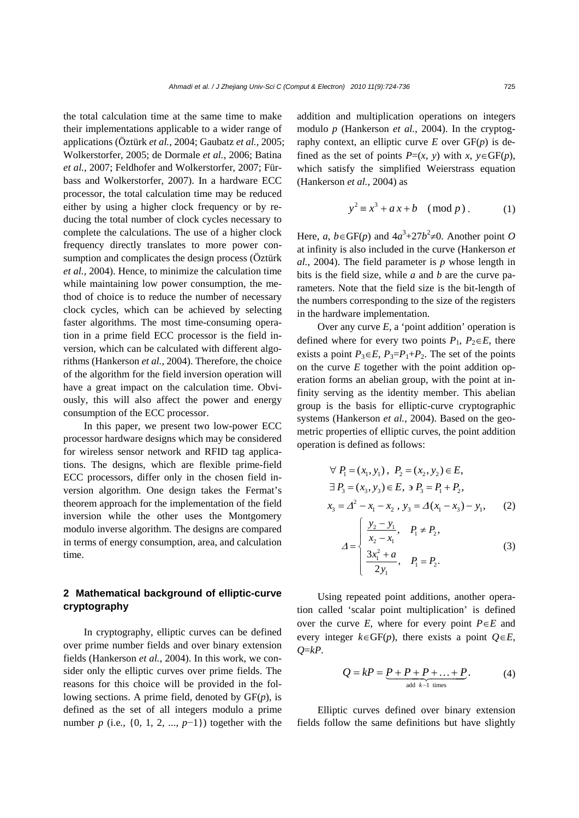the total calculation time at the same time to make their implementations applicable to a wider range of applications (Öztürk *et al.*, 2004; Gaubatz *et al.*, 2005; Wolkerstorfer, 2005; de Dormale *et al.*, 2006; Batina *et al.*, 2007; Feldhofer and Wolkerstorfer, 2007; Fürbass and Wolkerstorfer, 2007). In a hardware ECC processor, the total calculation time may be reduced either by using a higher clock frequency or by reducing the total number of clock cycles necessary to complete the calculations. The use of a higher clock frequency directly translates to more power consumption and complicates the design process (Öztürk *et al.*, 2004). Hence, to minimize the calculation time while maintaining low power consumption, the method of choice is to reduce the number of necessary clock cycles, which can be achieved by selecting faster algorithms. The most time-consuming operation in a prime field ECC processor is the field inversion, which can be calculated with different algorithms (Hankerson *et al.*, 2004). Therefore, the choice of the algorithm for the field inversion operation will have a great impact on the calculation time. Obviously, this will also affect the power and energy consumption of the ECC processor.

In this paper, we present two low-power ECC processor hardware designs which may be considered for wireless sensor network and RFID tag applications. The designs, which are flexible prime-field ECC processors, differ only in the chosen field inversion algorithm. One design takes the Fermat's theorem approach for the implementation of the field inversion while the other uses the Montgomery modulo inverse algorithm. The designs are compared in terms of energy consumption, area, and calculation time.

# **2 Mathematical background of elliptic-curve cryptography**

In cryptography, elliptic curves can be defined over prime number fields and over binary extension fields (Hankerson *et al.*, 2004). In this work, we consider only the elliptic curves over prime fields. The reasons for this choice will be provided in the following sections. A prime field, denoted by GF(*p*), is defined as the set of all integers modulo a prime number *p* (i.e*.*, {0, 1, 2, ..., *p*−1}) together with the addition and multiplication operations on integers modulo *p* (Hankerson *et al.*, 2004). In the cryptography context, an elliptic curve  $E$  over  $GF(p)$  is defined as the set of points  $P=(x, y)$  with  $x, y \in GF(p)$ , which satisfy the simplified Weierstrass equation (Hankerson *et al.*, 2004) as

$$
y^2 \equiv x^3 + a x + b \pmod{p} \tag{1}
$$

Here, *a*, *b*∈GF(*p*) and  $4a^3+27b^2 \neq 0$ . Another point *O* at infinity is also included in the curve (Hankerson *et al.*, 2004). The field parameter is *p* whose length in bits is the field size, while *a* and *b* are the curve parameters. Note that the field size is the bit-length of the numbers corresponding to the size of the registers in the hardware implementation.

Over any curve *E*, a 'point addition' operation is defined where for every two points  $P_1$ ,  $P_2 \in E$ , there exists a point  $P_3 \in E$ ,  $P_3 = P_1 + P_2$ . The set of the points on the curve *E* together with the point addition operation forms an abelian group, with the point at infinity serving as the identity member. This abelian group is the basis for elliptic-curve cryptographic systems (Hankerson *et al.*, 2004). Based on the geometric properties of elliptic curves, the point addition operation is defined as follows:

$$
\forall P_1 = (x_1, y_1), P_2 = (x_2, y_2) \in E,
$$
  
\n
$$
\exists P_3 = (x_3, y_3) \in E, \exists P_3 = P_1 + P_2,
$$
  
\n
$$
x_3 = \Delta^2 - x_1 - x_2, y_3 = \Delta(x_1 - x_3) - y_1,
$$
 (2)

$$
\Delta = \begin{cases} \frac{y_2 - y_1}{x_2 - x_1}, & P_1 \neq P_2, \\ \frac{3x_1^2 + a}{2y_1}, & P_1 = P_2. \end{cases}
$$
 (3)

Using repeated point additions, another operation called 'scalar point multiplication' is defined over the curve *E*, where for every point *P*∈*E* and every integer  $k \in GF(p)$ , there exists a point  $Q \in E$ , *Q*=*kP*.

$$
Q = kP = \underbrace{P + P + P + \ldots + P}_{\text{add }k-1 \text{ times}}.
$$
 (4)

Elliptic curves defined over binary extension fields follow the same definitions but have slightly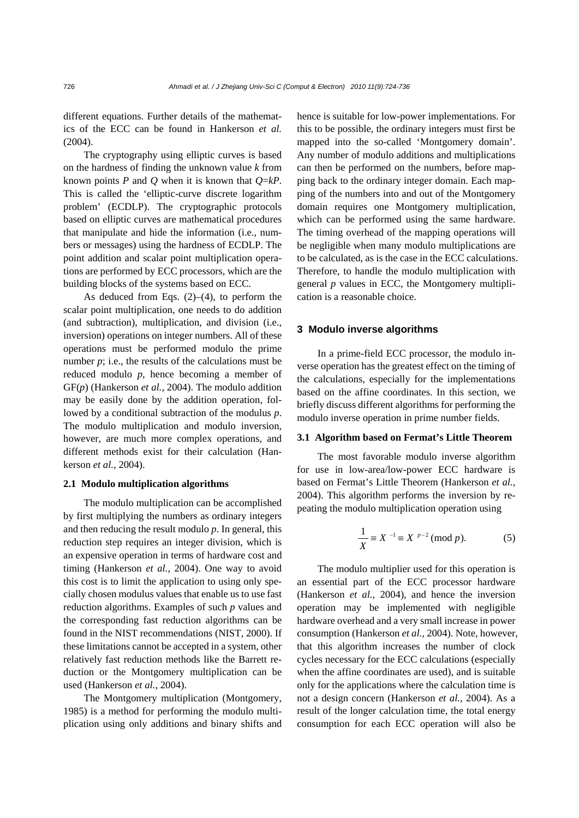different equations. Further details of the mathematics of the ECC can be found in Hankerson *et al.*  (2004).

The cryptography using elliptic curves is based on the hardness of finding the unknown value *k* from known points *P* and *Q* when it is known that *Q*=*kP*. This is called the 'elliptic-curve discrete logarithm problem' (ECDLP). The cryptographic protocols based on elliptic curves are mathematical procedures that manipulate and hide the information (i.e*.*, numbers or messages) using the hardness of ECDLP. The point addition and scalar point multiplication operations are performed by ECC processors, which are the building blocks of the systems based on ECC.

As deduced from Eqs.  $(2)$ – $(4)$ , to perform the scalar point multiplication, one needs to do addition (and subtraction), multiplication, and division (i.e., inversion) operations on integer numbers. All of these operations must be performed modulo the prime number *p*; i.e., the results of the calculations must be reduced modulo *p*, hence becoming a member of GF(*p*) (Hankerson *et al.*, 2004). The modulo addition may be easily done by the addition operation, followed by a conditional subtraction of the modulus *p*. The modulo multiplication and modulo inversion, however, are much more complex operations, and different methods exist for their calculation (Hankerson *et al.*, 2004).

## **2.1 Modulo multiplication algorithms**

The modulo multiplication can be accomplished by first multiplying the numbers as ordinary integers and then reducing the result modulo *p*. In general, this reduction step requires an integer division, which is an expensive operation in terms of hardware cost and timing (Hankerson *et al.*, 2004). One way to avoid this cost is to limit the application to using only specially chosen modulus values that enable us to use fast reduction algorithms. Examples of such *p* values and the corresponding fast reduction algorithms can be found in the NIST recommendations (NIST, 2000). If these limitations cannot be accepted in a system, other relatively fast reduction methods like the Barrett reduction or the Montgomery multiplication can be used (Hankerson *et al.*, 2004).

The Montgomery multiplication (Montgomery, 1985) is a method for performing the modulo multiplication using only additions and binary shifts and hence is suitable for low-power implementations. For this to be possible, the ordinary integers must first be mapped into the so-called 'Montgomery domain'. Any number of modulo additions and multiplications can then be performed on the numbers, before mapping back to the ordinary integer domain. Each mapping of the numbers into and out of the Montgomery domain requires one Montgomery multiplication, which can be performed using the same hardware. The timing overhead of the mapping operations will be negligible when many modulo multiplications are to be calculated, as is the case in the ECC calculations. Therefore, to handle the modulo multiplication with general *p* values in ECC, the Montgomery multiplication is a reasonable choice.

#### **3 Modulo inverse algorithms**

In a prime-field ECC processor, the modulo inverse operation has the greatest effect on the timing of the calculations, especially for the implementations based on the affine coordinates. In this section, we briefly discuss different algorithms for performing the modulo inverse operation in prime number fields.

#### **3.1 Algorithm based on Fermat's Little Theorem**

The most favorable modulo inverse algorithm for use in low-area/low-power ECC hardware is based on Fermat's Little Theorem (Hankerson *et al.*, 2004). This algorithm performs the inversion by repeating the modulo multiplication operation using

$$
\frac{1}{X} \equiv X^{-1} \equiv X^{p-2} \pmod{p}.
$$
 (5)

The modulo multiplier used for this operation is an essential part of the ECC processor hardware (Hankerson *et al.*, 2004), and hence the inversion operation may be implemented with negligible hardware overhead and a very small increase in power consumption (Hankerson *et al.*, 2004). Note, however, that this algorithm increases the number of clock cycles necessary for the ECC calculations (especially when the affine coordinates are used), and is suitable only for the applications where the calculation time is not a design concern (Hankerson *et al.*, 2004). As a result of the longer calculation time, the total energy consumption for each ECC operation will also be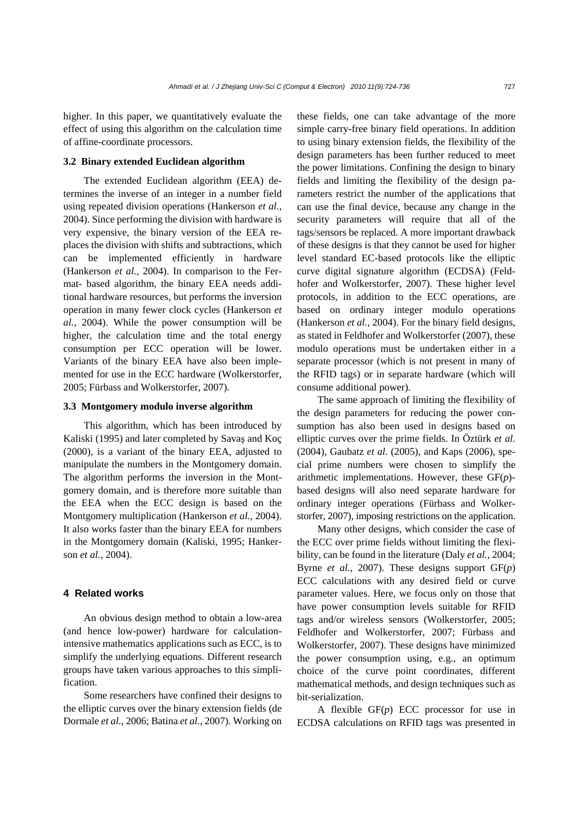higher. In this paper, we quantitatively evaluate the effect of using this algorithm on the calculation time of affine-coordinate processors.

### **3.2 Binary extended Euclidean algorithm**

The extended Euclidean algorithm (EEA) determines the inverse of an integer in a number field using repeated division operations (Hankerson *et al.*, 2004). Since performing the division with hardware is very expensive, the binary version of the EEA replaces the division with shifts and subtractions, which can be implemented efficiently in hardware (Hankerson *et al.*, 2004). In comparison to the Fermat- based algorithm, the binary EEA needs additional hardware resources, but performs the inversion operation in many fewer clock cycles (Hankerson *et al.*, 2004). While the power consumption will be higher, the calculation time and the total energy consumption per ECC operation will be lower. Variants of the binary EEA have also been implemented for use in the ECC hardware (Wolkerstorfer, 2005; Fürbass and Wolkerstorfer, 2007).

#### **3.3 Montgomery modulo inverse algorithm**

This algorithm, which has been introduced by Kaliski (1995) and later completed by Savaş and Koç (2000), is a variant of the binary EEA, adjusted to manipulate the numbers in the Montgomery domain. The algorithm performs the inversion in the Montgomery domain, and is therefore more suitable than the EEA when the ECC design is based on the Montgomery multiplication (Hankerson *et al.*, 2004). It also works faster than the binary EEA for numbers in the Montgomery domain (Kaliski, 1995; Hankerson *et al.*, 2004).

## **4 Related works**

An obvious design method to obtain a low-area (and hence low-power) hardware for calculationintensive mathematics applications such as ECC, is to simplify the underlying equations. Different research groups have taken various approaches to this simplification.

Some researchers have confined their designs to the elliptic curves over the binary extension fields (de Dormale *et al.*, 2006; Batina *et al.*, 2007). Working on these fields, one can take advantage of the more simple carry-free binary field operations. In addition to using binary extension fields, the flexibility of the design parameters has been further reduced to meet the power limitations. Confining the design to binary fields and limiting the flexibility of the design parameters restrict the number of the applications that can use the final device, because any change in the security parameters will require that all of the tags/sensors be replaced. A more important drawback of these designs is that they cannot be used for higher level standard EC-based protocols like the elliptic curve digital signature algorithm (ECDSA) (Feldhofer and Wolkerstorfer, 2007). These higher level protocols, in addition to the ECC operations, are based on ordinary integer modulo operations (Hankerson *et al.*, 2004). For the binary field designs, as stated in Feldhofer and Wolkerstorfer (2007), these modulo operations must be undertaken either in a separate processor (which is not present in many of the RFID tags) or in separate hardware (which will consume additional power).

The same approach of limiting the flexibility of the design parameters for reducing the power consumption has also been used in designs based on elliptic curves over the prime fields. In Öztürk *et al.*  (2004), Gaubatz *et al.* (2005), and Kaps (2006), special prime numbers were chosen to simplify the arithmetic implementations. However, these GF(*p*) based designs will also need separate hardware for ordinary integer operations (Fürbass and Wolkerstorfer, 2007), imposing restrictions on the application.

Many other designs, which consider the case of the ECC over prime fields without limiting the flexibility, can be found in the literature (Daly *et al.*, 2004; Byrne *et al.*, 2007). These designs support GF(*p*) ECC calculations with any desired field or curve parameter values. Here, we focus only on those that have power consumption levels suitable for RFID tags and/or wireless sensors (Wolkerstorfer, 2005; Feldhofer and Wolkerstorfer, 2007; Fürbass and Wolkerstorfer, 2007). These designs have minimized the power consumption using, e.g., an optimum choice of the curve point coordinates, different mathematical methods, and design techniques such as bit-serialization.

A flexible GF(*p*) ECC processor for use in ECDSA calculations on RFID tags was presented in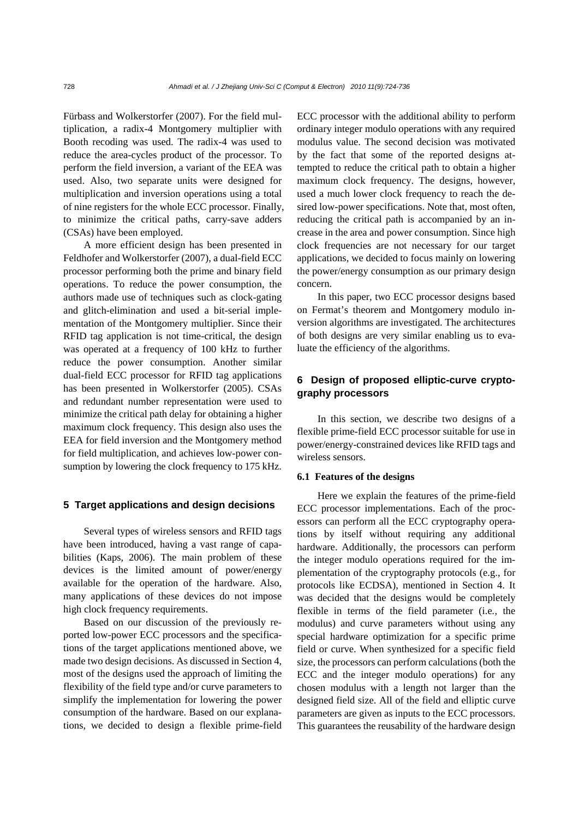Fürbass and Wolkerstorfer (2007). For the field multiplication, a radix-4 Montgomery multiplier with Booth recoding was used. The radix-4 was used to reduce the area-cycles product of the processor. To perform the field inversion, a variant of the EEA was used. Also, two separate units were designed for multiplication and inversion operations using a total of nine registers for the whole ECC processor. Finally, to minimize the critical paths, carry-save adders (CSAs) have been employed.

A more efficient design has been presented in Feldhofer and Wolkerstorfer (2007), a dual-field ECC processor performing both the prime and binary field operations. To reduce the power consumption, the authors made use of techniques such as clock-gating and glitch-elimination and used a bit-serial implementation of the Montgomery multiplier. Since their RFID tag application is not time-critical, the design was operated at a frequency of 100 kHz to further reduce the power consumption. Another similar dual-field ECC processor for RFID tag applications has been presented in Wolkerstorfer (2005). CSAs and redundant number representation were used to minimize the critical path delay for obtaining a higher maximum clock frequency. This design also uses the EEA for field inversion and the Montgomery method for field multiplication, and achieves low-power consumption by lowering the clock frequency to 175 kHz.

## **5 Target applications and design decisions**

Several types of wireless sensors and RFID tags have been introduced, having a vast range of capabilities (Kaps, 2006). The main problem of these devices is the limited amount of power/energy available for the operation of the hardware. Also, many applications of these devices do not impose high clock frequency requirements.

Based on our discussion of the previously reported low-power ECC processors and the specifications of the target applications mentioned above, we made two design decisions. As discussed in Section 4, most of the designs used the approach of limiting the flexibility of the field type and/or curve parameters to simplify the implementation for lowering the power consumption of the hardware. Based on our explanations, we decided to design a flexible prime-field ECC processor with the additional ability to perform ordinary integer modulo operations with any required modulus value. The second decision was motivated by the fact that some of the reported designs attempted to reduce the critical path to obtain a higher maximum clock frequency. The designs, however, used a much lower clock frequency to reach the desired low-power specifications. Note that, most often, reducing the critical path is accompanied by an increase in the area and power consumption. Since high clock frequencies are not necessary for our target applications, we decided to focus mainly on lowering the power/energy consumption as our primary design concern.

In this paper, two ECC processor designs based on Fermat's theorem and Montgomery modulo inversion algorithms are investigated. The architectures of both designs are very similar enabling us to evaluate the efficiency of the algorithms.

# **6 Design of proposed elliptic-curve cryptography processors**

In this section, we describe two designs of a flexible prime-field ECC processor suitable for use in power/energy-constrained devices like RFID tags and wireless sensors.

#### **6.1 Features of the designs**

Here we explain the features of the prime-field ECC processor implementations. Each of the processors can perform all the ECC cryptography operations by itself without requiring any additional hardware. Additionally, the processors can perform the integer modulo operations required for the implementation of the cryptography protocols (e.g., for protocols like ECDSA), mentioned in Section 4. It was decided that the designs would be completely flexible in terms of the field parameter (i.e*.*, the modulus) and curve parameters without using any special hardware optimization for a specific prime field or curve. When synthesized for a specific field size, the processors can perform calculations (both the ECC and the integer modulo operations) for any chosen modulus with a length not larger than the designed field size. All of the field and elliptic curve parameters are given as inputs to the ECC processors. This guarantees the reusability of the hardware design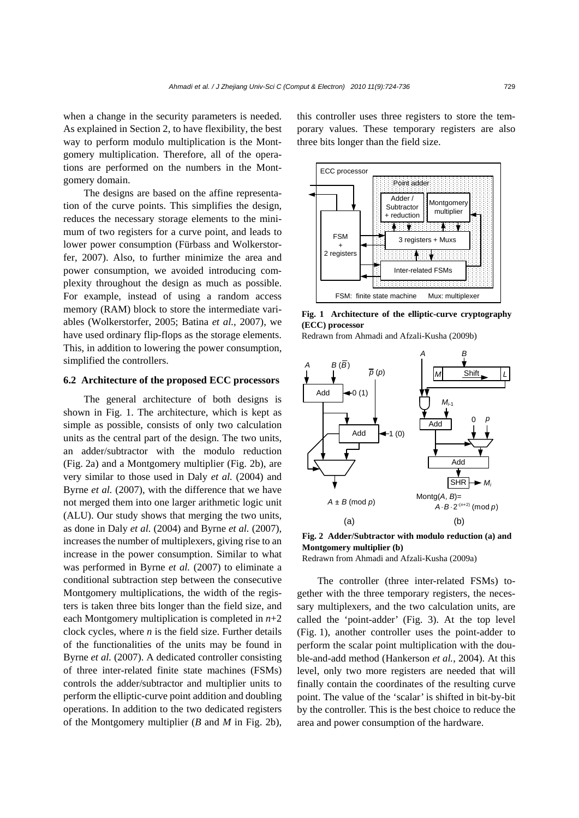when a change in the security parameters is needed. As explained in Section 2, to have flexibility, the best way to perform modulo multiplication is the Montgomery multiplication. Therefore, all of the operations are performed on the numbers in the Montgomery domain.

The designs are based on the affine representation of the curve points. This simplifies the design, reduces the necessary storage elements to the minimum of two registers for a curve point, and leads to lower power consumption (Fürbass and Wolkerstorfer, 2007). Also, to further minimize the area and power consumption, we avoided introducing complexity throughout the design as much as possible. For example, instead of using a random access memory (RAM) block to store the intermediate variables (Wolkerstorfer, 2005; Batina *et al.*, 2007), we have used ordinary flip-flops as the storage elements. This, in addition to lowering the power consumption, simplified the controllers.

## **6.2 Architecture of the proposed ECC processors**

The general architecture of both designs is shown in Fig. 1. The architecture, which is kept as simple as possible, consists of only two calculation units as the central part of the design. The two units, an adder/subtractor with the modulo reduction (Fig. 2a) and a Montgomery multiplier (Fig. 2b), are very similar to those used in Daly *et al.* (2004) and Byrne *et al.* (2007), with the difference that we have not merged them into one larger arithmetic logic unit (ALU). Our study shows that merging the two units, as done in Daly *et al.* (2004) and Byrne *et al.* (2007), increases the number of multiplexers, giving rise to an increase in the power consumption. Similar to what was performed in Byrne *et al.* (2007) to eliminate a conditional subtraction step between the consecutive Montgomery multiplications, the width of the registers is taken three bits longer than the field size, and each Montgomery multiplication is completed in *n*+2 clock cycles, where  $n$  is the field size. Further details of the functionalities of the units may be found in Byrne *et al.* (2007). A dedicated controller consisting of three inter-related finite state machines (FSMs) controls the adder/subtractor and multiplier units to perform the elliptic-curve point addition and doubling operations. In addition to the two dedicated registers of the Montgomery multiplier (*B* and *M* in Fig. 2b),

this controller uses three registers to store the temporary values. These temporary registers are also three bits longer than the field size.



**Fig. 1 Architecture of the elliptic-curve cryptography (ECC) processor** 





**Fig. 2 Adder/Subtractor with modulo reduction (a) and Montgomery multiplier (b)** 

Redrawn from Ahmadi and Afzali-Kusha (2009a)

The controller (three inter-related FSMs) together with the three temporary registers, the necessary multiplexers, and the two calculation units, are called the 'point-adder' (Fig. 3). At the top level (Fig. 1), another controller uses the point-adder to perform the scalar point multiplication with the double-and-add method (Hankerson *et al.*, 2004). At this level, only two more registers are needed that will finally contain the coordinates of the resulting curve point. The value of the 'scalar' is shifted in bit-by-bit by the controller. This is the best choice to reduce the area and power consumption of the hardware.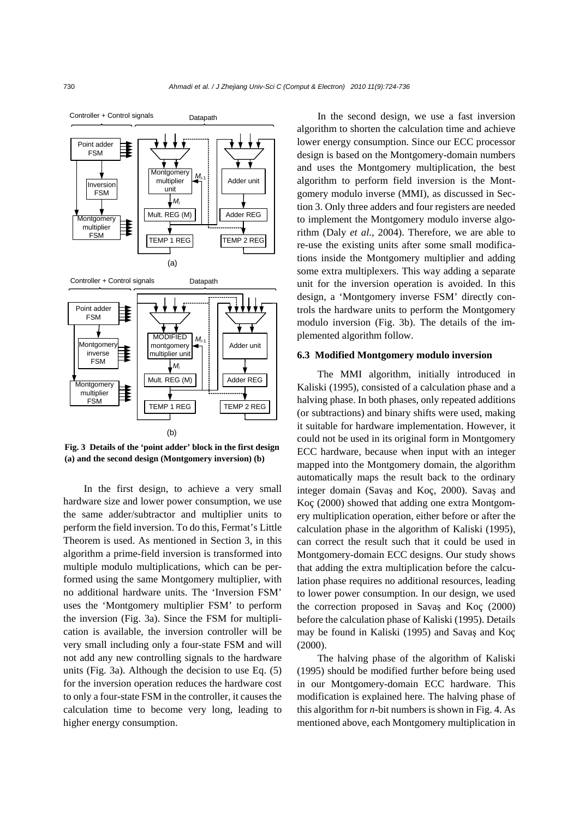

**Fig. 3 Details of the 'point adder' block in the first design (a) and the second design (Montgomery inversion) (b)** 

In the first design, to achieve a very small hardware size and lower power consumption, we use the same adder/subtractor and multiplier units to perform the field inversion. To do this, Fermat's Little Theorem is used. As mentioned in Section 3, in this algorithm a prime-field inversion is transformed into multiple modulo multiplications, which can be performed using the same Montgomery multiplier, with no additional hardware units. The 'Inversion FSM' uses the 'Montgomery multiplier FSM' to perform the inversion (Fig. 3a). Since the FSM for multiplication is available, the inversion controller will be very small including only a four-state FSM and will not add any new controlling signals to the hardware units (Fig. 3a). Although the decision to use Eq. (5) for the inversion operation reduces the hardware cost to only a four-state FSM in the controller, it causes the calculation time to become very long, leading to higher energy consumption.

In the second design, we use a fast inversion algorithm to shorten the calculation time and achieve lower energy consumption. Since our ECC processor design is based on the Montgomery-domain numbers and uses the Montgomery multiplication, the best algorithm to perform field inversion is the Montgomery modulo inverse (MMI), as discussed in Section 3. Only three adders and four registers are needed to implement the Montgomery modulo inverse algorithm (Daly *et al.*, 2004). Therefore, we are able to re-use the existing units after some small modifications inside the Montgomery multiplier and adding some extra multiplexers. This way adding a separate unit for the inversion operation is avoided. In this design, a 'Montgomery inverse FSM' directly controls the hardware units to perform the Montgomery modulo inversion (Fig. 3b). The details of the implemented algorithm follow.

#### **6.3 Modified Montgomery modulo inversion**

The MMI algorithm, initially introduced in Kaliski (1995), consisted of a calculation phase and a halving phase. In both phases, only repeated additions (or subtractions) and binary shifts were used, making it suitable for hardware implementation. However, it could not be used in its original form in Montgomery ECC hardware, because when input with an integer mapped into the Montgomery domain, the algorithm automatically maps the result back to the ordinary integer domain (Savaş and Koç, 2000). Savaş and Koç (2000) showed that adding one extra Montgomery multiplication operation, either before or after the calculation phase in the algorithm of Kaliski (1995), can correct the result such that it could be used in Montgomery-domain ECC designs. Our study shows that adding the extra multiplication before the calculation phase requires no additional resources, leading to lower power consumption. In our design, we used the correction proposed in Savaş and Koç (2000) before the calculation phase of Kaliski (1995). Details may be found in Kaliski (1995) and Savaş and Koç (2000).

The halving phase of the algorithm of Kaliski (1995) should be modified further before being used in our Montgomery-domain ECC hardware. This modification is explained here. The halving phase of this algorithm for *n*-bit numbers is shown in Fig. 4. As mentioned above, each Montgomery multiplication in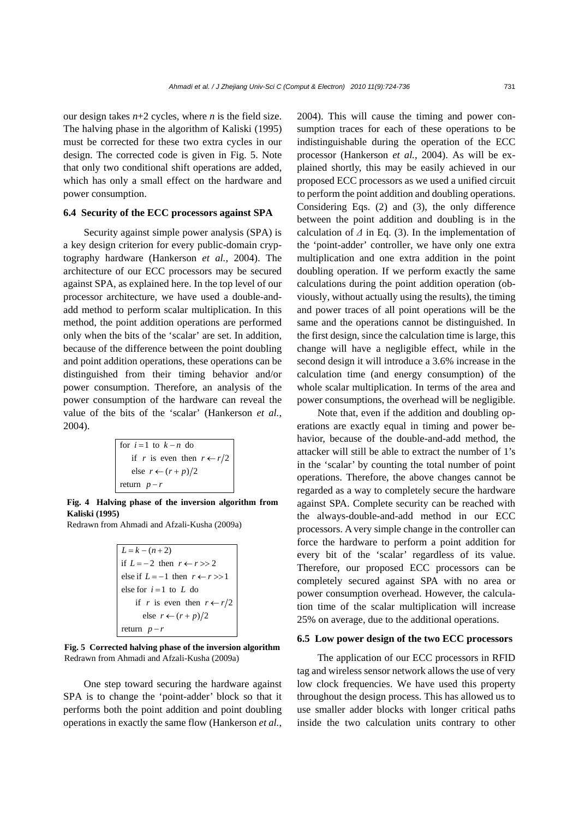our design takes  $n+2$  cycles, where *n* is the field size. The halving phase in the algorithm of Kaliski (1995) must be corrected for these two extra cycles in our design. The corrected code is given in Fig. 5. Note that only two conditional shift operations are added, which has only a small effect on the hardware and power consumption.

## **6.4 Security of the ECC processors against SPA**

Security against simple power analysis (SPA) is a key design criterion for every public-domain cryptography hardware (Hankerson *et al.*, 2004). The architecture of our ECC processors may be secured against SPA, as explained here. In the top level of our processor architecture, we have used a double-andadd method to perform scalar multiplication. In this method, the point addition operations are performed only when the bits of the 'scalar' are set. In addition, because of the difference between the point doubling and point addition operations, these operations can be distinguished from their timing behavior and/or power consumption. Therefore, an analysis of the power consumption of the hardware can reveal the value of the bits of the 'scalar' (Hankerson *et al.*, 2004).

for 
$$
i=1
$$
 to  $k-n$  do  
if  $r$  is even then  $r \leftarrow r/2$   
else  $r \leftarrow (r+p)/2$   
return  $p-r$ 

**Fig. 4 Halving phase of the inversion algorithm from Kaliski (1995)** 

Redrawn from Ahmadi and Afzali-Kusha (2009a)

```
L = k - (n + 2)if L = -2 then r \leftarrow r \gg 2else if L = -1 then r \leftarrow r >> 1else for i = 1 to L do
if r is even then r \leftarrow r/2else r \leftarrow (r+p)/2return p - r
```
**Fig. 5 Corrected halving phase of the inversion algorithm** Redrawn from Ahmadi and Afzali-Kusha (2009a)

One step toward securing the hardware against SPA is to change the 'point-adder' block so that it performs both the point addition and point doubling operations in exactly the same flow (Hankerson *et al.*, 2004). This will cause the timing and power consumption traces for each of these operations to be indistinguishable during the operation of the ECC processor (Hankerson *et al.*, 2004). As will be explained shortly, this may be easily achieved in our proposed ECC processors as we used a unified circuit to perform the point addition and doubling operations. Considering Eqs. (2) and (3), the only difference between the point addition and doubling is in the calculation of  $\Delta$  in Eq. (3). In the implementation of the 'point-adder' controller, we have only one extra multiplication and one extra addition in the point doubling operation. If we perform exactly the same calculations during the point addition operation (obviously, without actually using the results), the timing and power traces of all point operations will be the same and the operations cannot be distinguished. In the first design, since the calculation time is large, this change will have a negligible effect, while in the second design it will introduce a 3.6% increase in the calculation time (and energy consumption) of the whole scalar multiplication. In terms of the area and power consumptions, the overhead will be negligible.

Note that, even if the addition and doubling operations are exactly equal in timing and power behavior, because of the double-and-add method, the attacker will still be able to extract the number of 1's in the 'scalar' by counting the total number of point operations. Therefore, the above changes cannot be regarded as a way to completely secure the hardware against SPA. Complete security can be reached with the always-double-and-add method in our ECC processors. A very simple change in the controller can force the hardware to perform a point addition for every bit of the 'scalar' regardless of its value. Therefore, our proposed ECC processors can be completely secured against SPA with no area or power consumption overhead. However, the calculation time of the scalar multiplication will increase 25% on average, due to the additional operations.

## **6.5 Low power design of the two ECC processors**

The application of our ECC processors in RFID tag and wireless sensor network allows the use of very low clock frequencies. We have used this property throughout the design process. This has allowed us to use smaller adder blocks with longer critical paths inside the two calculation units contrary to other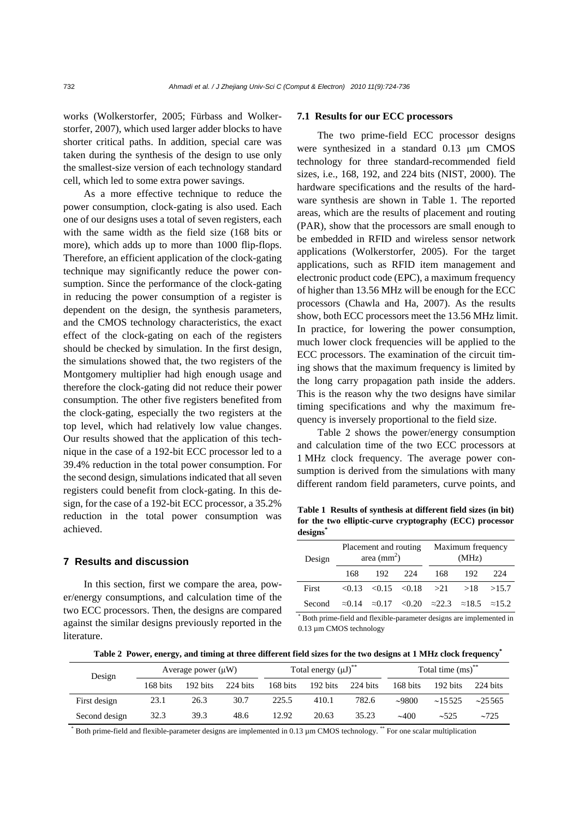works (Wolkerstorfer, 2005; Fürbass and Wolkerstorfer, 2007), which used larger adder blocks to have shorter critical paths. In addition, special care was taken during the synthesis of the design to use only the smallest-size version of each technology standard cell, which led to some extra power savings.

As a more effective technique to reduce the power consumption, clock-gating is also used. Each one of our designs uses a total of seven registers, each with the same width as the field size (168 bits or more), which adds up to more than 1000 flip-flops. Therefore, an efficient application of the clock-gating technique may significantly reduce the power consumption. Since the performance of the clock-gating in reducing the power consumption of a register is dependent on the design, the synthesis parameters, and the CMOS technology characteristics, the exact effect of the clock-gating on each of the registers should be checked by simulation. In the first design, the simulations showed that, the two registers of the Montgomery multiplier had high enough usage and therefore the clock-gating did not reduce their power consumption. The other five registers benefited from the clock-gating, especially the two registers at the top level, which had relatively low value changes. Our results showed that the application of this technique in the case of a 192-bit ECC processor led to a 39.4% reduction in the total power consumption. For the second design, simulations indicated that all seven registers could benefit from clock-gating. In this design, for the case of a 192-bit ECC processor, a 35.2% reduction in the total power consumption was achieved.

## **7 Results and discussion**

In this section, first we compare the area, power/energy consumptions, and calculation time of the two ECC processors. Then, the designs are compared against the similar designs previously reported in the literature.

#### **7.1 Results for our ECC processors**

The two prime-field ECC processor designs were synthesized in a standard 0.13 μm CMOS technology for three standard-recommended field sizes, i.e., 168, 192, and 224 bits (NIST, 2000). The hardware specifications and the results of the hardware synthesis are shown in Table 1. The reported areas, which are the results of placement and routing (PAR), show that the processors are small enough to be embedded in RFID and wireless sensor network applications (Wolkerstorfer, 2005). For the target applications, such as RFID item management and electronic product code (EPC), a maximum frequency of higher than 13.56 MHz will be enough for the ECC processors (Chawla and Ha, 2007). As the results show, both ECC processors meet the 13.56 MHz limit. In practice, for lowering the power consumption, much lower clock frequencies will be applied to the ECC processors. The examination of the circuit timing shows that the maximum frequency is limited by the long carry propagation path inside the adders. This is the reason why the two designs have similar timing specifications and why the maximum frequency is inversely proportional to the field size.

Table 2 shows the power/energy consumption and calculation time of the two ECC processors at 1 MHz clock frequency. The average power consumption is derived from the simulations with many different random field parameters, curve points, and

**Table 1 Results of synthesis at different field sizes (in bit) for the two elliptic-curve cryptography (ECC) processor**  designs<sup>\*</sup>

| Design |     | area $\text{(mm}^2)$ | Placement and routing                                                                 |     | Maximum frequency<br>(MHz) |       |
|--------|-----|----------------------|---------------------------------------------------------------------------------------|-----|----------------------------|-------|
|        | 168 | 192.                 | - 224                                                                                 | 168 | 192                        | 224   |
| First  |     |                      | $< 0.13$ $< 0.15$ $< 0.18$ $> 21$                                                     |     | >18                        | >15.7 |
| Second |     |                      | $\approx 0.14$ $\approx 0.17$ $\lt 0.20$ $\approx 22.3$ $\approx 18.5$ $\approx 15.2$ |     |                            |       |

\* Both prime-field and flexible-parameter designs are implemented in 0.13 µm CMOS technology

**Table 2 Power, energy, and timing at three different field sizes for the two designs at 1 MHz clock frequency\***

| Design        |          | Average power $(\mu W)$ |          |          | Total energy $(\mu J)^{**}$ |          |             | Total time $\left(\text{ms}\right)^{**}$ |                    |
|---------------|----------|-------------------------|----------|----------|-----------------------------|----------|-------------|------------------------------------------|--------------------|
|               | 168 bits | 192 bits                | 224 bits | 168 bits | 192 bits                    | 224 bits | 168 bits    | 192 bits                                 | $224 \text{ bits}$ |
| First design  | 23.1     | 26.3                    | 30.7     | 225.5    | 410.1                       | 782.6    | $\sim 9800$ | $\sim$ 15.525                            | $\approx$ 25.565   |
| Second design | 32.3     | 39.3                    | 48.6     | 12.92    | 20.63                       | 35.23    | $\sim 400$  | ~1.525                                   | ~1.725             |

\* Both prime-field and flexible-parameter designs are implemented in 0.13 µm CMOS technology.<sup>\*\*</sup> For one scalar multiplication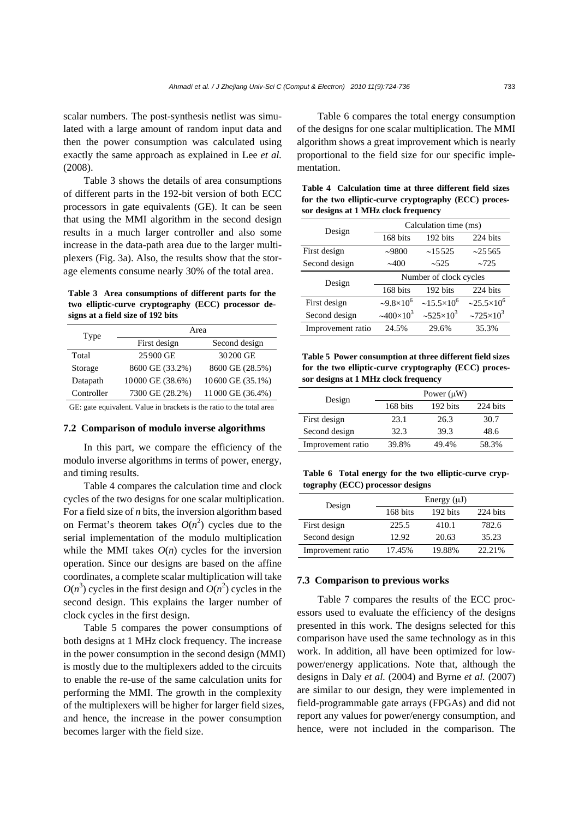scalar numbers. The post-synthesis netlist was simulated with a large amount of random input data and then the power consumption was calculated using exactly the same approach as explained in Lee *et al.*  (2008).

Table 3 shows the details of area consumptions of different parts in the 192-bit version of both ECC processors in gate equivalents (GE). It can be seen that using the MMI algorithm in the second design results in a much larger controller and also some increase in the data-path area due to the larger multiplexers (Fig. 3a). Also, the results show that the storage elements consume nearly 30% of the total area.

**Table 3 Area consumptions of different parts for the two elliptic-curve cryptography (ECC) processor designs at a field size of 192 bits** 

| Type       | Area             |                  |  |  |
|------------|------------------|------------------|--|--|
|            | First design     | Second design    |  |  |
| Total      | 25900 GE         | 30200 GE         |  |  |
| Storage    | 8600 GE (33.2%)  | 8600 GE (28.5%)  |  |  |
| Datapath   | 10000 GE (38.6%) | 10600 GE (35.1%) |  |  |
| Controller | 7300 GE (28.2%)  | 11000 GE (36.4%) |  |  |
|            |                  |                  |  |  |

GE: gate equivalent. Value in brackets is the ratio to the total area

#### **7.2 Comparison of modulo inverse algorithms**

In this part, we compare the efficiency of the modulo inverse algorithms in terms of power, energy, and timing results.

Table 4 compares the calculation time and clock cycles of the two designs for one scalar multiplication. For a field size of *n* bits, the inversion algorithm based on Fermat's theorem takes  $O(n^2)$  cycles due to the serial implementation of the modulo multiplication while the MMI takes  $O(n)$  cycles for the inversion operation. Since our designs are based on the affine coordinates, a complete scalar multiplication will take  $O(n^3)$  cycles in the first design and  $O(n^2)$  cycles in the second design. This explains the larger number of clock cycles in the first design.

Table 5 compares the power consumptions of both designs at 1 MHz clock frequency. The increase in the power consumption in the second design (MMI) is mostly due to the multiplexers added to the circuits to enable the re-use of the same calculation units for performing the MMI. The growth in the complexity of the multiplexers will be higher for larger field sizes, and hence, the increase in the power consumption becomes larger with the field size.

Table 6 compares the total energy consumption of the designs for one scalar multiplication. The MMI algorithm shows a great improvement which is nearly proportional to the field size for our specific implementation.

**Table 4 Calculation time at three different field sizes for the two elliptic-curve cryptography (ECC) processor designs at 1 MHz clock frequency** 

| Design            | Calculation time (ms)     |                            |                            |  |
|-------------------|---------------------------|----------------------------|----------------------------|--|
|                   | 168 bits                  | 192 bits                   | 224 bits                   |  |
| First design      | ~1000                     | ~15525                     | ~25565                     |  |
| Second design     | $\sim 400$                | ~1.525                     | ~1.725                     |  |
| Design            | Number of clock cycles    |                            |                            |  |
|                   | 168 bits                  | 192 bits                   | 224 bits                   |  |
| First design      | $-9.8\times10^{6}$        | $\approx 15.5 \times 10^6$ | $\approx 25.5 \times 10^6$ |  |
| Second design     | $\approx 400 \times 10^3$ | $\approx 525 \times 10^3$  | $~2725\times10^{3}$        |  |
| Improvement ratio | 24.5%                     | 29.6%                      | 35.3%                      |  |

**Table 5 Power consumption at three different field sizes for the two elliptic-curve cryptography (ECC) processor designs at 1 MHz clock frequency** 

| Design            | Power $(\mu W)$ |          |          |  |
|-------------------|-----------------|----------|----------|--|
|                   | 168 bits        | 192 bits | 224 bits |  |
| First design      | 23.1            | 26.3     | 30.7     |  |
| Second design     | 32.3            | 39.3     | 48.6     |  |
| Improvement ratio | 39.8%           | 49.4%    | 58.3%    |  |

**Table 6 Total energy for the two elliptic-curve cryptography (ECC) processor designs** 

| Design            |          | Energy $(\mu J)$ |          |
|-------------------|----------|------------------|----------|
|                   | 168 bits | 192 bits         | 224 bits |
| First design      | 225.5    | 410.1            | 782.6    |
| Second design     | 12.92    | 20.63            | 35.23    |
| Improvement ratio | 17.45%   | 19.88%           | 22.21%   |

## **7.3 Comparison to previous works**

Table 7 compares the results of the ECC processors used to evaluate the efficiency of the designs presented in this work. The designs selected for this comparison have used the same technology as in this work. In addition, all have been optimized for lowpower/energy applications. Note that, although the designs in Daly *et al.* (2004) and Byrne *et al.* (2007) are similar to our design, they were implemented in field-programmable gate arrays (FPGAs) and did not report any values for power/energy consumption, and hence, were not included in the comparison. The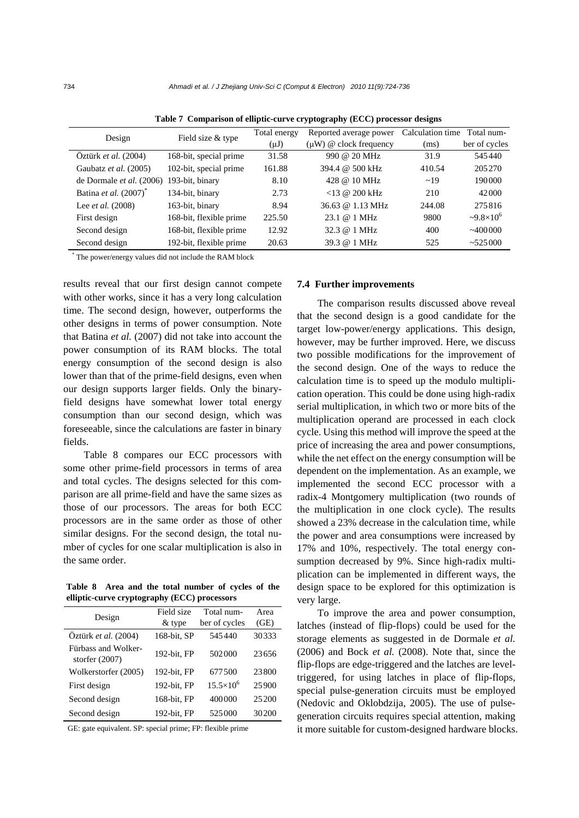| Design                            | Field size & type       | Total energy<br>$(\mu J)$ | Reported average power<br>$(\mu W)$ @ clock frequency | Calculation time<br>(ms) | Total num-<br>ber of cycles |
|-----------------------------------|-------------------------|---------------------------|-------------------------------------------------------|--------------------------|-----------------------------|
| Oztürk et al. (2004)              | 168-bit, special prime  | 31.58                     | 990 @ 20 MHz                                          | 31.9                     | 545440                      |
| Gaubatz et al. (2005)             | 102-bit, special prime  | 161.88                    | 394.4 @ 500 kHz                                       | 410.54                   | 205270                      |
| de Dormale et al. (2006)          | 193-bit, binary         | 8.10                      | 428 @ 10 MHz                                          | $\sim$ 19                | 190000                      |
| Batina et al. (2007) <sup>*</sup> | 134-bit, binary         | 2.73                      | $<$ 13 @ 200 kHz                                      | 210                      | 42000                       |
| Lee <i>et al.</i> (2008)          | 163-bit, binary         | 8.94                      | 36.63 @ 1.13 MHz                                      | 244.08                   | 275816                      |
| First design                      | 168-bit, flexible prime | 225.50                    | 23.1 @ 1 MHz                                          | 9800                     | $-9.8\times10^{6}$          |
| Second design                     | 168-bit, flexible prime | 12.92                     | 32.3 @ 1 MHz                                          | 400                      | ~100000                     |
| Second design                     | 192-bit, flexible prime | 20.63                     | 39.3 @ 1 MHz                                          | 525                      | ~525000                     |

**Table 7 Comparison of elliptic-curve cryptography (ECC) processor designs** 

\* The power/energy values did not include the RAM block

results reveal that our first design cannot compete with other works, since it has a very long calculation time. The second design, however, outperforms the other designs in terms of power consumption. Note that Batina *et al.* (2007) did not take into account the power consumption of its RAM blocks. The total energy consumption of the second design is also lower than that of the prime-field designs, even when our design supports larger fields. Only the binaryfield designs have somewhat lower total energy consumption than our second design, which was foreseeable, since the calculations are faster in binary fields.

Table 8 compares our ECC processors with some other prime-field processors in terms of area and total cycles. The designs selected for this comparison are all prime-field and have the same sizes as those of our processors. The areas for both ECC processors are in the same order as those of other similar designs. For the second design, the total number of cycles for one scalar multiplication is also in the same order.

**Table 8 Area and the total number of cycles of the elliptic-curve cryptography (ECC) processors** 

| Design                                  | Field size  | Total num-         | Area  |
|-----------------------------------------|-------------|--------------------|-------|
|                                         | $&$ type    | ber of cycles      | (GE)  |
| Öztürk et al. (2004)                    | 168-bit, SP | 545440             | 30333 |
| Fürbass and Wolker-<br>storfer $(2007)$ | 192-bit, FP | 502000             | 23656 |
| Wolkerstorfer (2005)                    | 192-bit, FP | 677.500            | 23800 |
| First design                            | 192-bit, FP | $15.5\times10^{6}$ | 25900 |
| Second design                           | 168-bit, FP | 400000             | 25200 |
| Second design                           | 192-bit, FP | 525000             | 30200 |

GE: gate equivalent. SP: special prime; FP: flexible prime

#### **7.4 Further improvements**

The comparison results discussed above reveal that the second design is a good candidate for the target low-power/energy applications. This design, however, may be further improved. Here, we discuss two possible modifications for the improvement of the second design. One of the ways to reduce the calculation time is to speed up the modulo multiplication operation. This could be done using high-radix serial multiplication, in which two or more bits of the multiplication operand are processed in each clock cycle. Using this method will improve the speed at the price of increasing the area and power consumptions, while the net effect on the energy consumption will be dependent on the implementation. As an example, we implemented the second ECC processor with a radix-4 Montgomery multiplication (two rounds of the multiplication in one clock cycle). The results showed a 23% decrease in the calculation time, while the power and area consumptions were increased by 17% and 10%, respectively. The total energy consumption decreased by 9%. Since high-radix multiplication can be implemented in different ways, the design space to be explored for this optimization is very large.

To improve the area and power consumption, latches (instead of flip-flops) could be used for the storage elements as suggested in de Dormale *et al.*  (2006) and Bock *et al.* (2008). Note that, since the flip-flops are edge-triggered and the latches are leveltriggered, for using latches in place of flip-flops, special pulse-generation circuits must be employed (Nedovic and Oklobdzija, 2005). The use of pulsegeneration circuits requires special attention, making it more suitable for custom-designed hardware blocks.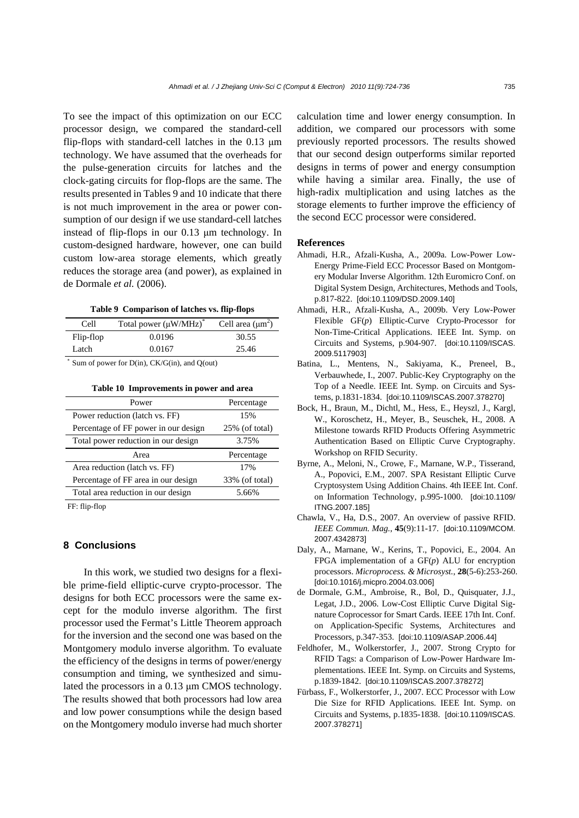To see the impact of this optimization on our ECC processor design, we compared the standard-cell flip-flops with standard-cell latches in the 0.13 μm technology. We have assumed that the overheads for the pulse-generation circuits for latches and the clock-gating circuits for flop-flops are the same. The results presented in Tables 9 and 10 indicate that there is not much improvement in the area or power consumption of our design if we use standard-cell latches instead of flip-flops in our 0.13 μm technology. In custom-designed hardware, however, one can build custom low-area storage elements, which greatly reduces the storage area (and power), as explained in de Dormale *et al.* (2006).

**Table 9 Comparison of latches vs. flip-flops** 

| Cell        | Total power $(\mu W/MHz)^*$                                                         | Cell area $(\mu m^2)$ |
|-------------|-------------------------------------------------------------------------------------|-----------------------|
| Flip-flop   | 0.0196                                                                              | 30.55                 |
| Latch       | 0.0167                                                                              | 25.46                 |
| $^*$ $\sim$ | $\mathcal{C}$ $\mathbb{R}^n \times \mathbb{R}^n$ $\mathbb{R}^n \times \mathbb{R}^n$ |                       |

Sum of power for  $D(in)$ ,  $CK/G(in)$ , and  $O(out)$ 

**Table 10 Improvements in power and area** 

| Power                                | Percentage        |
|--------------------------------------|-------------------|
| Power reduction (latch vs. FF)       | 15%               |
| Percentage of FF power in our design | $25\%$ (of total) |
| Total power reduction in our design  | 3.75%             |
| Area                                 | Percentage        |
|                                      |                   |
| Area reduction (latch vs. FF)        | 17%               |
| Percentage of FF area in our design  | 33% (of total)    |

FF: flip-flop

## **8 Conclusions**

In this work, we studied two designs for a flexible prime-field elliptic-curve crypto-processor. The designs for both ECC processors were the same except for the modulo inverse algorithm. The first processor used the Fermat's Little Theorem approach for the inversion and the second one was based on the Montgomery modulo inverse algorithm. To evaluate the efficiency of the designs in terms of power/energy consumption and timing, we synthesized and simulated the processors in a 0.13 μm CMOS technology. The results showed that both processors had low area and low power consumptions while the design based on the Montgomery modulo inverse had much shorter calculation time and lower energy consumption. In addition, we compared our processors with some previously reported processors. The results showed that our second design outperforms similar reported designs in terms of power and energy consumption while having a similar area. Finally, the use of high-radix multiplication and using latches as the storage elements to further improve the efficiency of the second ECC processor were considered.

### **References**

- Ahmadi, H.R., Afzali-Kusha, A., 2009a. Low-Power Low-Energy Prime-Field ECC Processor Based on Montgomery Modular Inverse Algorithm. 12th Euromicro Conf. on Digital System Design, Architectures, Methods and Tools, p.817-822. [doi:10.1109/DSD.2009.140]
- Ahmadi, H.R., Afzali-Kusha, A., 2009b. Very Low-Power Flexible GF(*p*) Elliptic-Curve Crypto-Processor for Non-Time-Critical Applications. IEEE Int. Symp. on Circuits and Systems, p.904-907. [doi:10.1109/ISCAS. 2009.5117903]
- Batina, L., Mentens, N., Sakiyama, K., Preneel, B., Verbauwhede, I., 2007. Public-Key Cryptography on the Top of a Needle. IEEE Int. Symp. on Circuits and Systems, p.1831-1834. [doi:10.1109/ISCAS.2007.378270]
- Bock, H., Braun, M., Dichtl, M., Hess, E., Heyszl, J., Kargl, W., Koroschetz, H., Meyer, B., Seuschek, H., 2008. A Milestone towards RFID Products Offering Asymmetric Authentication Based on Elliptic Curve Cryptography. Workshop on RFID Security.
- Byrne, A., Meloni, N., Crowe, F., Marnane, W.P., Tisserand, A., Popovici, E.M., 2007. SPA Resistant Elliptic Curve Cryptosystem Using Addition Chains. 4th IEEE Int. Conf. on Information Technology, p.995-1000. [doi:10.1109/ ITNG.2007.185]
- Chawla, V., Ha, D.S., 2007. An overview of passive RFID. *IEEE Commun. Mag.*, **45**(9):11-17. [doi:10.1109/MCOM. 2007.4342873]
- Daly, A., Marnane, W., Kerins, T., Popovici, E., 2004. An FPGA implementation of a GF(*p*) ALU for encryption processors. *Microprocess. & Microsyst.*, **28**(5-6):253-260. [doi:10.1016/j.micpro.2004.03.006]
- de Dormale, G.M., Ambroise, R., Bol, D., Quisquater, J.J., Legat, J.D., 2006. Low-Cost Elliptic Curve Digital Signature Coprocessor for Smart Cards. IEEE 17th Int. Conf. on Application-Specific Systems, Architectures and Processors, p.347-353. [doi:10.1109/ASAP.2006.44]
- Feldhofer, M., Wolkerstorfer, J., 2007. Strong Crypto for RFID Tags: a Comparison of Low-Power Hardware Implementations. IEEE Int. Symp. on Circuits and Systems, p.1839-1842. [doi:10.1109/ISCAS.2007.378272]
- Fürbass, F., Wolkerstorfer, J., 2007. ECC Processor with Low Die Size for RFID Applications. IEEE Int. Symp. on Circuits and Systems, p.1835-1838. [doi:10.1109/ISCAS. 2007.378271]